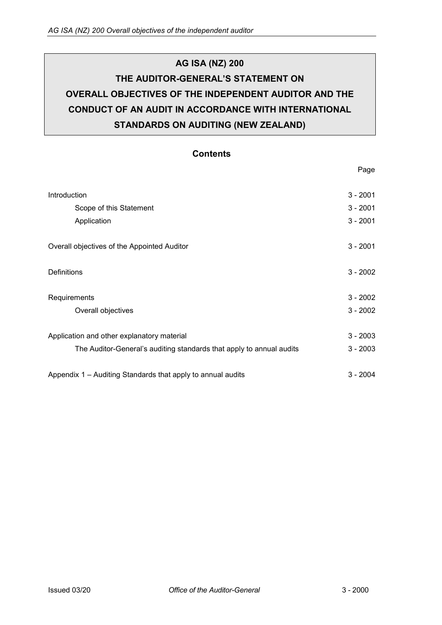# **AG ISA (NZ) 200 THE AUDITOR-GENERAL'S STATEMENT ON OVERALL OBJECTIVES OF THE INDEPENDENT AUDITOR AND THE CONDUCT OF AN AUDIT IN ACCORDANCE WITH INTERNATIONAL STANDARDS ON AUDITING (NEW ZEALAND)**

## **Contents**

| Introduction                                                         | $3 - 2001$ |
|----------------------------------------------------------------------|------------|
| Scope of this Statement                                              | $3 - 2001$ |
| Application                                                          | $3 - 2001$ |
| Overall objectives of the Appointed Auditor                          | $3 - 2001$ |
| <b>Definitions</b>                                                   | $3 - 2002$ |
| Requirements                                                         | $3 - 2002$ |
| Overall objectives                                                   | $3 - 2002$ |
| Application and other explanatory material                           | $3 - 2003$ |
| The Auditor-General's auditing standards that apply to annual audits | $3 - 2003$ |
| Appendix 1 – Auditing Standards that apply to annual audits          | $3 - 2004$ |

Page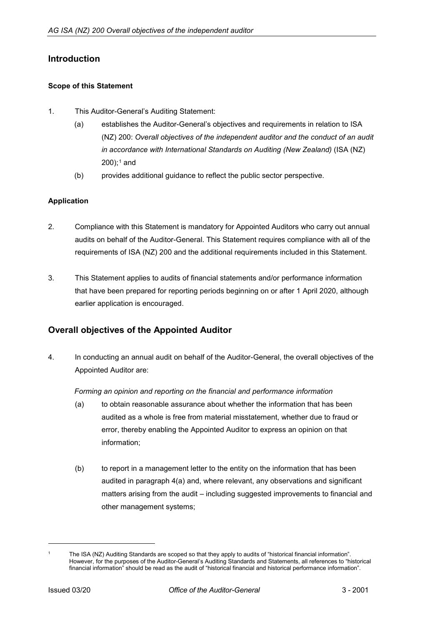# <span id="page-1-0"></span>**Introduction**

#### <span id="page-1-1"></span>**Scope of this Statement**

- 1. This Auditor-General's Auditing Statement:
	- (a) establishes the Auditor-General's objectives and requirements in relation to ISA (NZ) 200: *Overall objectives of the independent auditor and the conduct of an audit in accordance with International Standards on Auditing (New Zealand)* (ISA (NZ)  $200$ ;<sup>[1](#page-1-4)</sup> and
	- (b) provides additional guidance to reflect the public sector perspective.

#### <span id="page-1-2"></span>**Application**

- 2. Compliance with this Statement is mandatory for Appointed Auditors who carry out annual audits on behalf of the Auditor-General. This Statement requires compliance with all of the requirements of ISA (NZ) 200 and the additional requirements included in this Statement.
- 3. This Statement applies to audits of financial statements and/or performance information that have been prepared for reporting periods beginning on or after 1 April 2020, although earlier application is encouraged.

## <span id="page-1-3"></span>**Overall objectives of the Appointed Auditor**

4. In conducting an annual audit on behalf of the Auditor-General, the overall objectives of the Appointed Auditor are:

#### *Forming an opinion and reporting on the financial and performance information*

- (a) to obtain reasonable assurance about whether the information that has been audited as a whole is free from material misstatement, whether due to fraud or error, thereby enabling the Appointed Auditor to express an opinion on that information;
- (b) to report in a management letter to the entity on the information that has been audited in paragraph 4(a) and, where relevant, any observations and significant matters arising from the audit – including suggested improvements to financial and other management systems;

-

<span id="page-1-4"></span>The ISA (NZ) Auditing Standards are scoped so that they apply to audits of "historical financial information". However, for the purposes of the Auditor-General's Auditing Standards and Statements, all references to "historical financial information" should be read as the audit of "historical financial and historical performance information".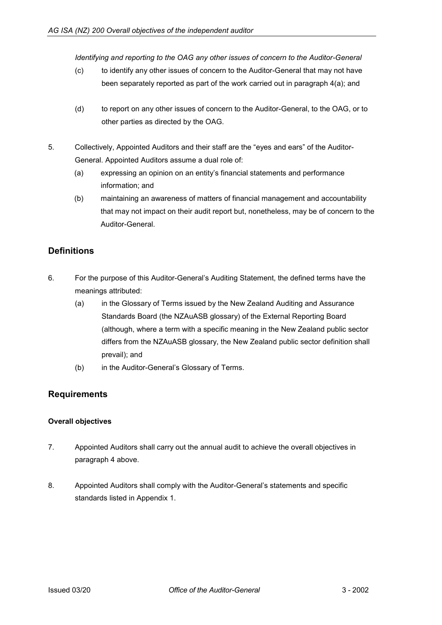*Identifying and reporting to the OAG any other issues of concern to the Auditor-General*

- (c) to identify any other issues of concern to the Auditor-General that may not have been separately reported as part of the work carried out in paragraph 4(a); and
- (d) to report on any other issues of concern to the Auditor-General, to the OAG, or to other parties as directed by the OAG.
- 5. Collectively, Appointed Auditors and their staff are the "eyes and ears" of the Auditor-General. Appointed Auditors assume a dual role of:
	- (a) expressing an opinion on an entity's financial statements and performance information; and
	- (b) maintaining an awareness of matters of financial management and accountability that may not impact on their audit report but, nonetheless, may be of concern to the Auditor-General.

# <span id="page-2-0"></span>**Definitions**

- 6. For the purpose of this Auditor-General's Auditing Statement, the defined terms have the meanings attributed:
	- (a) in the Glossary of Terms issued by the New Zealand Auditing and Assurance Standards Board (the NZAuASB glossary) of the External Reporting Board (although, where a term with a specific meaning in the New Zealand public sector differs from the NZAuASB glossary, the New Zealand public sector definition shall prevail); and
	- (b) in the Auditor-General's Glossary of Terms.

## <span id="page-2-1"></span>**Requirements**

#### <span id="page-2-2"></span>**Overall objectives**

- 7. Appointed Auditors shall carry out the annual audit to achieve the overall objectives in paragraph 4 above.
- 8. Appointed Auditors shall comply with the Auditor-General's statements and specific standards listed in Appendix 1.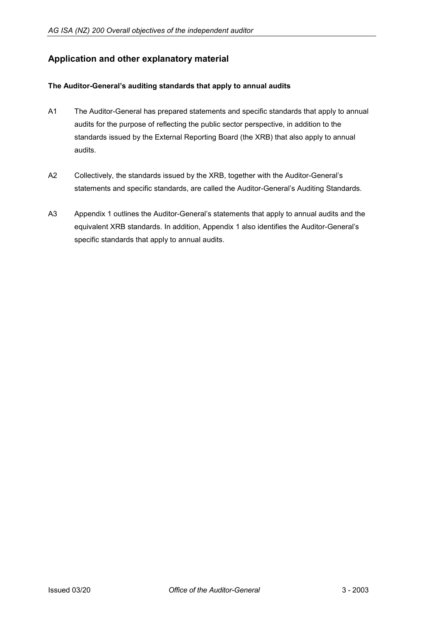# <span id="page-3-0"></span>**Application and other explanatory material**

#### <span id="page-3-1"></span>**The Auditor-General's auditing standards that apply to annual audits**

- A1 The Auditor-General has prepared statements and specific standards that apply to annual audits for the purpose of reflecting the public sector perspective, in addition to the standards issued by the External Reporting Board (the XRB) that also apply to annual audits.
- A2 Collectively, the standards issued by the XRB, together with the Auditor-General's statements and specific standards, are called the Auditor-General's Auditing Standards.
- A3 Appendix 1 outlines the Auditor-General's statements that apply to annual audits and the equivalent XRB standards. In addition, Appendix 1 also identifies the Auditor-General's specific standards that apply to annual audits.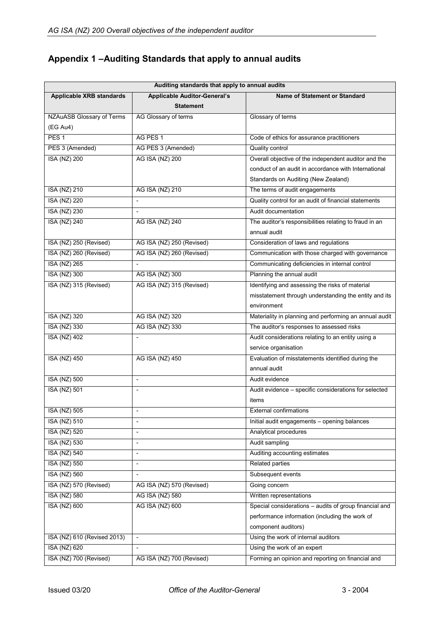# <span id="page-4-0"></span>**Appendix 1 –Auditing Standards that apply to annual audits**

| Auditing standards that apply to annual audits |                                     |                                                        |  |
|------------------------------------------------|-------------------------------------|--------------------------------------------------------|--|
| <b>Applicable XRB standards</b>                | <b>Applicable Auditor-General's</b> | <b>Name of Statement or Standard</b>                   |  |
|                                                | <b>Statement</b>                    |                                                        |  |
| <b>NZAuASB Glossary of Terms</b>               | AG Glossary of terms                | Glossary of terms                                      |  |
| (EG Au4)                                       |                                     |                                                        |  |
| PES <sub>1</sub>                               | AG PES 1                            | Code of ethics for assurance practitioners             |  |
| PES 3 (Amended)                                | AG PES 3 (Amended)                  | <b>Quality control</b>                                 |  |
| <b>ISA (NZ) 200</b>                            | <b>AG ISA (NZ) 200</b>              | Overall objective of the independent auditor and the   |  |
|                                                |                                     | conduct of an audit in accordance with International   |  |
|                                                |                                     | Standards on Auditing (New Zealand)                    |  |
| <b>ISA (NZ) 210</b>                            | AG ISA (NZ) 210                     | The terms of audit engagements                         |  |
| <b>ISA (NZ) 220</b>                            | $\overline{\phantom{a}}$            | Quality control for an audit of financial statements   |  |
| <b>ISA (NZ) 230</b>                            | $\overline{\phantom{a}}$            | Audit documentation                                    |  |
| <b>ISA (NZ) 240</b>                            | AG ISA (NZ) 240                     | The auditor's responsibilities relating to fraud in an |  |
|                                                |                                     | annual audit                                           |  |
| ISA (NZ) 250 (Revised)                         | AG ISA (NZ) 250 (Revised)           | Consideration of laws and regulations                  |  |
| ISA (NZ) 260 (Revised)                         | AG ISA (NZ) 260 (Revised)           | Communication with those charged with governance       |  |
| <b>ISA (NZ) 265</b>                            |                                     | Communicating deficiencies in internal control         |  |
| <b>ISA (NZ) 300</b>                            | AG ISA (NZ) 300                     | Planning the annual audit                              |  |
| ISA (NZ) 315 (Revised)                         | AG ISA (NZ) 315 (Revised)           | Identifying and assessing the risks of material        |  |
|                                                |                                     | misstatement through understanding the entity and its  |  |
|                                                |                                     | environment                                            |  |
| <b>ISA (NZ) 320</b>                            | AG ISA (NZ) 320                     | Materiality in planning and performing an annual audit |  |
| <b>ISA (NZ) 330</b>                            | AG ISA (NZ) 330                     | The auditor's responses to assessed risks              |  |
| <b>ISA (NZ) 402</b>                            |                                     | Audit considerations relating to an entity using a     |  |
|                                                |                                     | service organisation                                   |  |
| <b>ISA (NZ) 450</b>                            | <b>AG ISA (NZ) 450</b>              | Evaluation of misstatements identified during the      |  |
|                                                |                                     | annual audit                                           |  |
| <b>ISA (NZ) 500</b>                            | $\overline{\phantom{a}}$            | Audit evidence                                         |  |
| <b>ISA (NZ) 501</b>                            | $\overline{\phantom{a}}$            | Audit evidence - specific considerations for selected  |  |
|                                                |                                     | items                                                  |  |
| <b>ISA (NZ) 505</b>                            | $\overline{\phantom{a}}$            | <b>External confirmations</b>                          |  |
| ISA (NZ) 510                                   |                                     | Initial audit engagements - opening balances           |  |
| <b>ISA (NZ) 520</b>                            | $\overline{\phantom{a}}$            | Analytical procedures                                  |  |
| <b>ISA (NZ) 530</b>                            | $\overline{\phantom{a}}$            | Audit sampling                                         |  |
| <b>ISA (NZ) 540</b>                            | $\blacksquare$                      | Auditing accounting estimates                          |  |
| <b>ISA (NZ) 550</b>                            | $\overline{\phantom{a}}$            | <b>Related parties</b>                                 |  |
| <b>ISA (NZ) 560</b>                            | $\overline{\phantom{a}}$            | Subsequent events                                      |  |
| ISA (NZ) 570 (Revised)                         | AG ISA (NZ) 570 (Revised)           | Going concern                                          |  |
| <b>ISA (NZ) 580</b>                            | AG ISA (NZ) 580                     | Written representations                                |  |
| <b>ISA (NZ) 600</b>                            | AG ISA (NZ) 600                     | Special considerations - audits of group financial and |  |
|                                                |                                     | performance information (including the work of         |  |
|                                                |                                     | component auditors)                                    |  |
| ISA (NZ) 610 (Revised 2013)                    | $\overline{\phantom{a}}$            | Using the work of internal auditors                    |  |
| <b>ISA (NZ) 620</b>                            | $\overline{\phantom{a}}$            | Using the work of an expert                            |  |
| ISA (NZ) 700 (Revised)                         | AG ISA (NZ) 700 (Revised)           | Forming an opinion and reporting on financial and      |  |